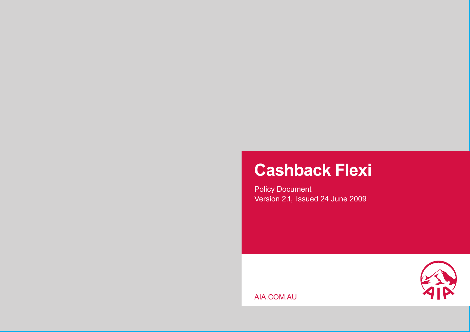# **Cashback Flexi**

Policy Document Version 2.1, Issued 24 June 2009



AIA.COM.AU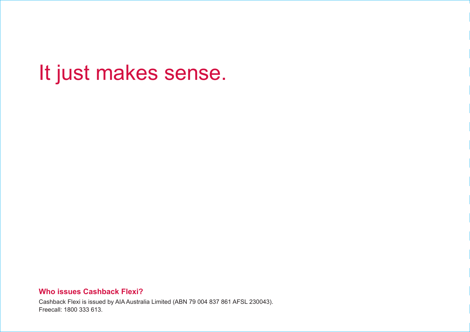# It just makes sense.

## **Who issues Cashback Flexi?**

Cashback Flexi is issued by AIA Australia Limited (ABN 79 004 837 861 AFSL 230043). Freecall: 1800 333 613.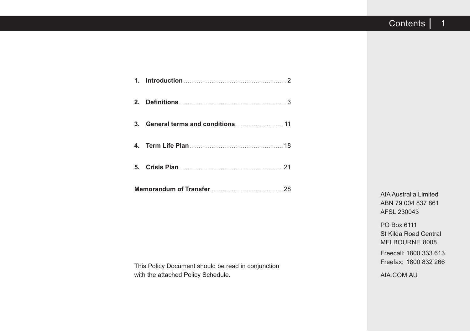|    | 4. Term Life Plan (1899) 18 |  |  |  |
|----|-----------------------------|--|--|--|
| 5. |                             |  |  |  |
|    |                             |  |  |  |

This Policy Document should be read in conjunction with the attached Policy Schedule.

AIA Australia Limited ABN 79 004 837 861 AFSL 230043

PO Box 6111 St Kilda Road Central MELBOURNE 8008

Freecall: 1800 333 613 Freefax: 1800 832 266

AIA.COM.AU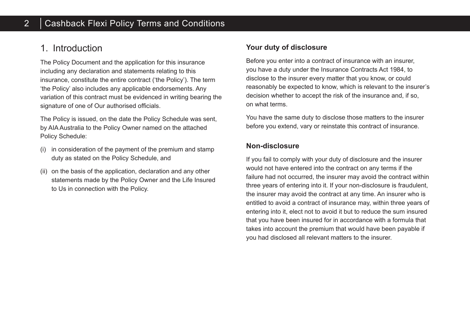# 1. Introduction

The Policy Document and the application for this insurance including any declaration and statements relating to this insurance, constitute the entire contract ('the Policy'). The term 'the Policy' also includes any applicable endorsements. Any variation of this contract must be evidenced in writing bearing the signature of one of Our authorised officials.

The Policy is issued, on the date the Policy Schedule was sent, by AIA Australia to the Policy Owner named on the attached Policy Schedule:

- (i) in consideration of the payment of the premium and stamp duty as stated on the Policy Schedule, and
- (ii) on the basis of the application, declaration and any other statements made by the Policy Owner and the Life Insured to Us in connection with the Policy.

## **Your duty of disclosure**

Before you enter into a contract of insurance with an insurer, you have a duty under the Insurance Contracts Act 1984, to disclose to the insurer every matter that you know, or could reasonably be expected to know, which is relevant to the insurer's decision whether to accept the risk of the insurance and, if so, on what terms.

You have the same duty to disclose those matters to the insurer before you extend, vary or reinstate this contract of insurance.

## **Non-disclosure**

If you fail to comply with your duty of disclosure and the insurer would not have entered into the contract on any terms if the failure had not occurred, the insurer may avoid the contract within three years of entering into it. If your non-disclosure is fraudulent, the insurer may avoid the contract at any time. An insurer who is entitled to avoid a contract of insurance may, within three years of entering into it, elect not to avoid it but to reduce the sum insured that you have been insured for in accordance with a formula that takes into account the premium that would have been payable if you had disclosed all relevant matters to the insurer.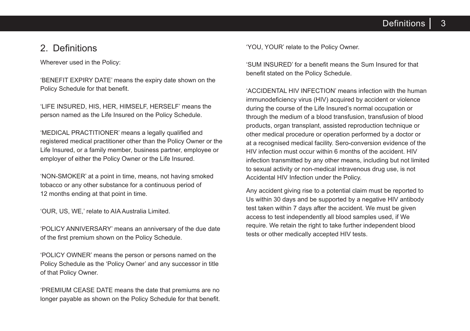3 **Definitions** 

## 2. Definitions

Wherever used in the Policy:

'BENEFIT EXPIRY DATE' means the expiry date shown on the Policy Schedule for that benefit.

'LIFE INSURED, HIS, HER, HIMSELF, HERSELF' means the person named as the Life Insured on the Policy Schedule.

'MEDICAL PRACTITIONER' means a legally qualified and registered medical practitioner other than the Policy Owner or the Life Insured, or a family member, business partner, employee or employer of either the Policy Owner or the Life Insured.

'NON-SMOKER' at a point in time, means, not having smoked tobacco or any other substance for a continuous period of 12 months ending at that point in time.

'OUR, US, WE,' relate to AIA Australia Limited.

'POLICY ANNIVERSARY' means an anniversary of the due date of the first premium shown on the Policy Schedule.

'POLICY OWNER' means the person or persons named on the Policy Schedule as the 'Policy Owner' and any successor in title of that Policy Owner.

'PREMIUM CEASE DATE means the date that premiums are no longer payable as shown on the Policy Schedule for that benefit. 'YOU, YOUR' relate to the Policy Owner.

'SUM INSURED' for a benefit means the Sum Insured for that benefit stated on the Policy Schedule.

'ACCIDENTAL HIV INFECTION' means infection with the human immunodeficiency virus (HIV) acquired by accident or violence during the course of the Life Insured's normal occupation or through the medium of a blood transfusion, transfusion of blood products, organ transplant, assisted reproduction technique or other medical procedure or operation performed by a doctor or at a recognised medical facility. Sero-conversion evidence of the HIV infection must occur within 6 months of the accident. HIV infection transmitted by any other means, including but not limited to sexual activity or non-medical intravenous drug use, is not Accidental HIV Infection under the Policy.

Any accident giving rise to a potential claim must be reported to Us within 30 days and be supported by a negative HIV antibody test taken within 7 days after the accident. We must be given access to test independently all blood samples used, if We require. We retain the right to take further independent blood tests or other medically accepted HIV tests.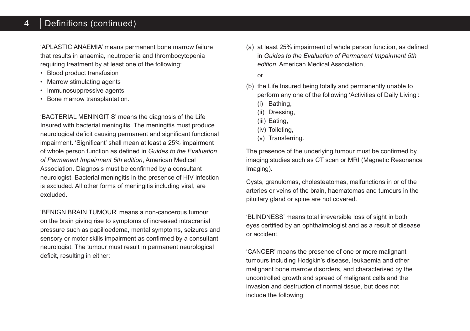# 4 | Definitions (continued)

'APLASTIC ANAEMIA' means permanent bone marrow failure that results in anaemia, neutropenia and thrombocytopenia requiring treatment by at least one of the following:

- Blood product transfusion
- Marrow stimulating agents
- Immunosuppressive agents
- Bone marrow transplantation.

'BACTERIAL MENINGITIS' means the diagnosis of the Life Insured with bacterial meningitis. The meningitis must produce neurological deficit causing permanent and significant functional impairment. 'Significant' shall mean at least a 25% impairment of whole person function as defined in *Guides to the Evaluation of Permanent Impairment 5th edition*, American Medical Association. Diagnosis must be confirmed by a consultant neurologist. Bacterial meningitis in the presence of HIV infection is excluded. All other forms of meningitis including viral, are excluded.

'BENIGN BRAIN TUMOUR' means a non-cancerous tumour on the brain giving rise to symptoms of increased intracranial pressure such as papilloedema, mental symptoms, seizures and sensory or motor skills impairment as confirmed by a consultant neurologist. The tumour must result in permanent neurological deficit, resulting in either:

(a) at least 25% impairment of whole person function, as defined in *Guides to the Evaluation of Permanent Impairment 5th edition*, American Medical Association,

or

- (b) the Life Insured being totally and permanently unable to perform any one of the following 'Activities of Daily Living':
	- (i) Bathing,
	- (ii) Dressing,
	- (iii) Eating,
	- (iv) Toileting,
	- (v) Transferring.

The presence of the underlying tumour must be confirmed by imaging studies such as CT scan or MRI (Magnetic Resonance Imaging).

Cysts, granulomas, cholesteatomas, malfunctions in or of the arteries or veins of the brain, haematomas and tumours in the pituitary gland or spine are not covered.

'BLINDNESS' means total irreversible loss of sight in both eyes certified by an ophthalmologist and as a result of disease or accident.

'CANCER' means the presence of one or more malignant tumours including Hodgkin's disease, leukaemia and other malignant bone marrow disorders, and characterised by the uncontrolled growth and spread of malignant cells and the invasion and destruction of normal tissue, but does not include the following: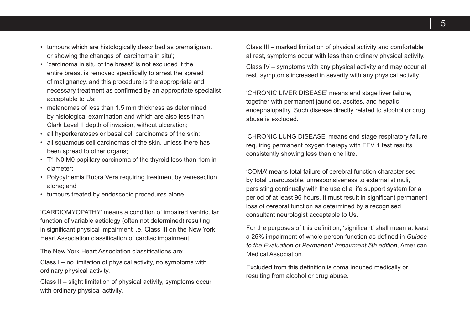- tumours which are histologically described as premalignant or showing the changes of 'carcinoma in situ';
- 'carcinoma in situ of the breast' is not excluded if the entire breast is removed specifically to arrest the spread of malignancy, and this procedure is the appropriate and necessary treatment as confirmed by an appropriate specialist acceptable to Us;
- melanomas of less than 1.5 mm thickness as determined by histological examination and which are also less than Clark Level II depth of invasion, without ulceration;
- all hyperkeratoses or basal cell carcinomas of the skin;
- all squamous cell carcinomas of the skin, unless there has been spread to other organs:
- T1 N0 M0 papillary carcinoma of the thyroid less than 1cm in diameter;
- Polycythemia Rubra Vera requiring treatment by venesection alone; and
- tumours treated by endoscopic procedures alone.

'CARDIOMYOPATHY' means a condition of impaired ventricular function of variable aetiology (often not determined) resulting in significant physical impairment i.e. Class III on the New York Heart Association classification of cardiac impairment.

The New York Heart Association classifications are:

Class I – no limitation of physical activity, no symptoms with ordinary physical activity.

Class II – slight limitation of physical activity, symptoms occur with ordinary physical activity.

Class III – marked limitation of physical activity and comfortable at rest, symptoms occur with less than ordinary physical activity.

Class IV – symptoms with any physical activity and may occur at rest, symptoms increased in severity with any physical activity.

'CHRONIC LIVER DISEASE' means end stage liver failure, together with permanent jaundice, ascites, and hepatic encephalopathy. Such disease directly related to alcohol or drug abuse is excluded.

'CHRONIC LUNG DISEASE' means end stage respiratory failure requiring permanent oxygen therapy with FEV 1 test results consistently showing less than one litre.

'COMA' means total failure of cerebral function characterised by total unarousable, unresponsiveness to external stimuli, persisting continually with the use of a life support system for a period of at least 96 hours. It must result in significant permanent loss of cerebral function as determined by a recognised consultant neurologist acceptable to Us.

For the purposes of this definition, 'significant' shall mean at least a 25% impairment of whole person function as defined in *Guides to the Evaluation of Permanent Impairment 5th edition*, American Medical Association.

Excluded from this definition is coma induced medically or resulting from alcohol or drug abuse.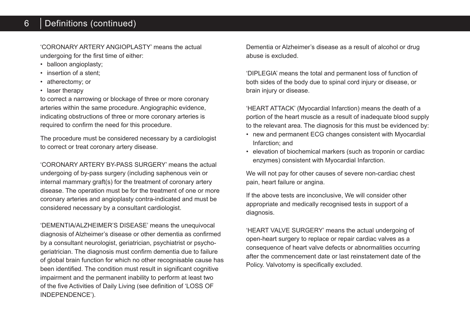#### 6 Definitions (continued)

'CORONARY ARTERY ANGIOPLASTY' means the actual undergoing for the first time of either:

- balloon angioplasty;
- insertion of a stent:
- atherectomy; or
- laser therapy

to correct a narrowing or blockage of three or more coronary arteries within the same procedure. Angiographic evidence, indicating obstructions of three or more coronary arteries is required to confirm the need for this procedure.

The procedure must be considered necessary by a cardiologist to correct or treat coronary artery disease.

'CORONARY ARTERY BY-PASS SURGERY' means the actual undergoing of by-pass surgery (including saphenous vein or internal mammary graft(s) for the treatment of coronary artery disease. The operation must be for the treatment of one or more coronary arteries and angioplasty contra-indicated and must be considered necessary by a consultant cardiologist.

'DEMENTIA/ALZHEIMER'S DISEASE' means the unequivocal diagnosis of Alzheimer's disease or other dementia as confirmed by a consultant neurologist, geriatrician, psychiatrist or psychogeriatrician. The diagnosis must confirm dementia due to failure of global brain function for which no other recognisable cause has been identified. The condition must result in significant cognitive impairment and the permanent inability to perform at least two of the five Activities of Daily Living (see definition of 'LOSS OF INDEPENDENCE').

Dementia or Alzheimer's disease as a result of alcohol or drug abuse is excluded.

'DIPLEGIA' means the total and permanent loss of function of both sides of the body due to spinal cord injury or disease, or brain injury or disease.

'HEART ATTACK' (Myocardial Infarction) means the death of a portion of the heart muscle as a result of inadequate blood supply to the relevant area. The diagnosis for this must be evidenced by:

- new and permanent ECG changes consistent with Myocardial Infarction; and
- elevation of biochemical markers (such as troponin or cardiac enzymes) consistent with Myocardial Infarction.

We will not pay for other causes of severe non-cardiac chest pain, heart failure or angina.

If the above tests are inconclusive, We will consider other appropriate and medically recognised tests in support of a diagnosis.

'HEART VALVE SURGERY' means the actual undergoing of open-heart surgery to replace or repair cardiac valves as a consequence of heart valve defects or abnormalities occurring after the commencement date or last reinstatement date of the Policy. Valvotomy is specifically excluded.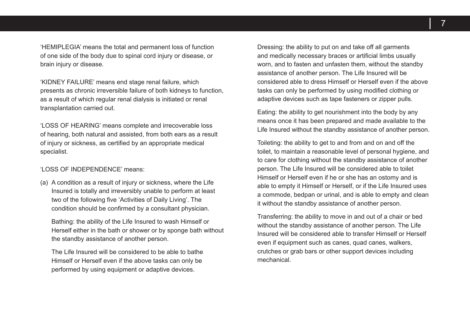'HEMIPLEGIA' means the total and permanent loss of function of one side of the body due to spinal cord injury or disease, or brain injury or disease.

'KIDNEY FAILURE' means end stage renal failure, which presents as chronic irreversible failure of both kidneys to function, as a result of which regular renal dialysis is initiated or renal transplantation carried out.

'LOSS OF HEARING' means complete and irrecoverable loss of hearing, both natural and assisted, from both ears as a result of injury or sickness, as certified by an appropriate medical specialist.

#### 'LOSS OF INDEPENDENCE' means:

(a) A condition as a result of injury or sickness, where the Life Insured is totally and irreversibly unable to perform at least two of the following five 'Activities of Daily Living'. The condition should be confirmed by a consultant physician.

Bathing: the ability of the Life Insured to wash Himself or Herself either in the bath or shower or by sponge bath without the standby assistance of another person.

The Life Insured will be considered to be able to bathe Himself or Herself even if the above tasks can only be performed by using equipment or adaptive devices.

Dressing: the ability to put on and take off all garments and medically necessary braces or artificial limbs usually worn, and to fasten and unfasten them, without the standby assistance of another person. The Life Insured will be considered able to dress Himself or Herself even if the above tasks can only be performed by using modified clothing or adaptive devices such as tape fasteners or zipper pulls.

Eating: the ability to get nourishment into the body by any means once it has been prepared and made available to the Life Insured without the standby assistance of another person.

Toileting: the ability to get to and from and on and off the toilet, to maintain a reasonable level of personal hygiene, and to care for clothing without the standby assistance of another person. The Life Insured will be considered able to toilet Himself or Herself even if he or she has an ostomy and is able to empty it Himself or Herself, or if the Life Insured uses a commode, bedpan or urinal, and is able to empty and clean it without the standby assistance of another person.

Transferring: the ability to move in and out of a chair or bed without the standby assistance of another person. The Life Insured will be considered able to transfer Himself or Herself even if equipment such as canes, quad canes, walkers, crutches or grab bars or other support devices including mechanical.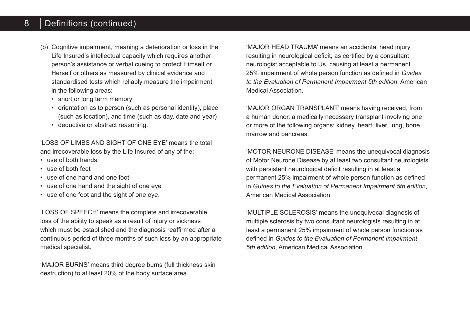#### 8 Definitions (continued)

- (b) Cognitive impairment, meaning a deterioration or loss in the Life Insured's intellectual capacity which requires another person's assistance or verbal cueing to protect Himself or Herself or others as measured by clinical evidence and standardised tests which reliably measure the impairment in the following areas:
	- short or long term memory
	- orientation as to person (such as personal identity), place (such as location), and time (such as day, date and year)
	- deductive or abstract reasoning.

'LOSS OF LIMBS AND SIGHT OF ONE EYE' means the total and irrecoverable loss by the Life Insured of any of the:

- use of both hands
- use of both feet
- use of one hand and one foot
- use of one hand and the sight of one eye
- use of one foot and the sight of one eye.

'LOSS OF SPEECH' means the complete and irrecoverable loss of the ability to speak as a result of injury or sickness which must be established and the diagnosis reaffirmed after a continuous period of three months of such loss by an appropriate medical specialist.

'MAJOR BURNS' means third degree burns (full thickness skin destruction) to at least 20% of the body surface area.

'MAJOR HEAD TRAUMA' means an accidental head injury resulting in neurological deficit, as certified by a consultant neurologist acceptable to Us, causing at least a permanent 25% impairment of whole person function as defined in *Guides to the Evaluation of Permanent Impairment 5th edition*, American Medical Association.

'MAJOR ORGAN TRANSPLANT' means having received, from a human donor, a medically necessary transplant involving one or more of the following organs: kidney, heart, liver, lung, bone marrow and pancreas.

'MOTOR NEURONE DISEASE' means the unequivocal diagnosis of Motor Neurone Disease by at least two consultant neurologists with persistent neurological deficit resulting in at least a permanent 25% impairment of whole person function as defined in *Guides to the Evaluation of Permanent Impairment 5th edition*, American Medical Association.

'MULTIPLE SCLEROSIS' means the unequivocal diagnosis of multiple sclerosis by two consultant neurologists resulting in at least a permanent 25% impairment of whole person function as defined in *Guides to the Evaluation of Permanent Impairment 5th edition*, American Medical Association.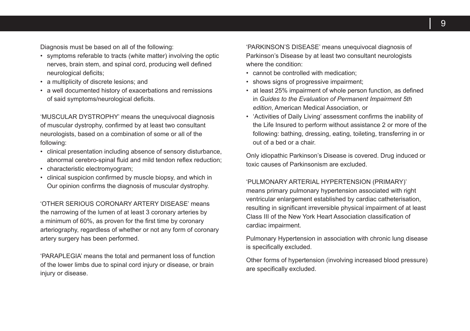Diagnosis must be based on all of the following:

- symptoms referable to tracts (white matter) involving the optic nerves, brain stem, and spinal cord, producing well defined neurological deficits;
- a multiplicity of discrete lesions; and
- a well documented history of exacerbations and remissions of said symptoms/neurological deficits.

'MUSCULAR DYSTROPHY' means the unequivocal diagnosis of muscular dystrophy, confirmed by at least two consultant neurologists, based on a combination of some or all of the following:

- clinical presentation including absence of sensory disturbance, abnormal cerebro-spinal fluid and mild tendon reflex reduction;
- characteristic electromyogram;
- clinical suspicion confirmed by muscle biopsy, and which in Our opinion confirms the diagnosis of muscular dystrophy.

'OTHER SERIOUS CORONARY ARTERY DISEASE' means the narrowing of the lumen of at least 3 coronary arteries by a minimum of 60%, as proven for the first time by coronary arteriography, regardless of whether or not any form of coronary artery surgery has been performed.

'PARAPLEGIA' means the total and permanent loss of function of the lower limbs due to spinal cord injury or disease, or brain injury or disease.

'PARKINSON'S DISEASE' means unequivocal diagnosis of Parkinson's Disease by at least two consultant neurologists where the condition:

- cannot be controlled with medication;
- shows signs of progressive impairment;
- at least 25% impairment of whole person function, as defined in *Guides to the Evaluation of Permanent Impairment 5th edition*, American Medical Association, or
- 'Activities of Daily Living' assessment confirms the inability of the Life Insured to perform without assistance 2 or more of the following: bathing, dressing, eating, toileting, transferring in or out of a bed or a chair.

Only idiopathic Parkinson's Disease is covered. Drug induced or toxic causes of Parkinsonism are excluded.

#### 'PULMONARY ARTERIAL HYPERTENSION (PRIMARY)'

means primary pulmonary hypertension associated with right ventricular enlargement established by cardiac catheterisation, resulting in significant irreversible physical impairment of at least Class III of the New York Heart Association classification of cardiac impairment.

Pulmonary Hypertension in association with chronic lung disease is specifically excluded.

Other forms of hypertension (involving increased blood pressure) are specifically excluded.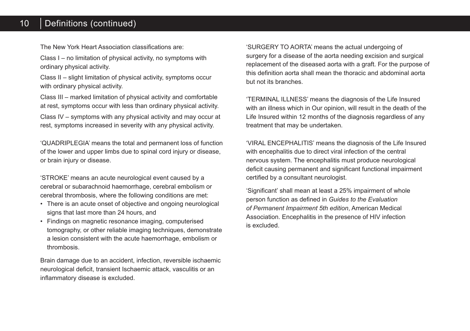#### 10 Definitions (continued)

The New York Heart Association classifications are:

Class I – no limitation of physical activity, no symptoms with ordinary physical activity.

Class II – slight limitation of physical activity, symptoms occur with ordinary physical activity.

Class III – marked limitation of physical activity and comfortable at rest, symptoms occur with less than ordinary physical activity.

Class IV – symptoms with any physical activity and may occur at rest, symptoms increased in severity with any physical activity.

'QUADRIPLEGIA' means the total and permanent loss of function of the lower and upper limbs due to spinal cord injury or disease, or brain injury or disease.

'STROKE' means an acute neurological event caused by a cerebral or subarachnoid haemorrhage, cerebral embolism or cerebral thrombosis, where the following conditions are met:

- There is an acute onset of objective and ongoing neurological signs that last more than 24 hours, and
- Findings on magnetic resonance imaging, computerised tomography, or other reliable imaging techniques, demonstrate a lesion consistent with the acute haemorrhage, embolism or thrombosis.

Brain damage due to an accident, infection, reversible ischaemic neurological deficit, transient Ischaemic attack, vasculitis or an inflammatory disease is excluded.

'SURGERY TO AORTA' means the actual undergoing of surgery for a disease of the aorta needing excision and surgical replacement of the diseased aorta with a graft. For the purpose of this definition aorta shall mean the thoracic and abdominal aorta but not its branches.

'TERMINAL ILLNESS' means the diagnosis of the Life Insured with an illness which in Our opinion, will result in the death of the Life Insured within 12 months of the diagnosis regardless of any treatment that may be undertaken.

'VIRAL ENCEPHALITIS' means the diagnosis of the Life Insured with encephalitis due to direct viral infection of the central nervous system. The encephalitis must produce neurological deficit causing permanent and significant functional impairment certified by a consultant neurologist.

'Significant' shall mean at least a 25% impairment of whole person function as defined in *Guides to the Evaluation of Permanent Impairment 5th edition*, American Medical Association. Encephalitis in the presence of HIV infection is excluded.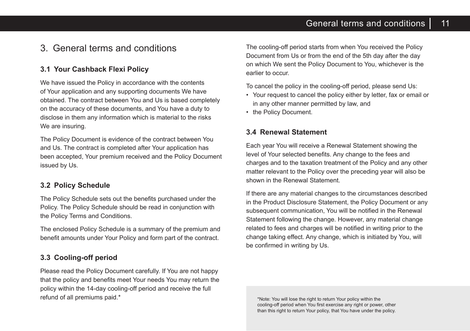# General terms and conditions  $\vert$  11

# 3. General terms and conditions

## **3.1 Your Cashback Flexi Policy**

We have issued the Policy in accordance with the contents of Your application and any supporting documents We have obtained. The contract between You and Us is based completely on the accuracy of these documents, and You have a duty to disclose in them any information which is material to the risks We are insuring.

The Policy Document is evidence of the contract between You and Us. The contract is completed after Your application has been accepted, Your premium received and the Policy Document issued by Us.

## **3.2 Policy Schedule**

The Policy Schedule sets out the benefits purchased under the Policy. The Policy Schedule should be read in conjunction with the Policy Terms and Conditions.

The enclosed Policy Schedule is a summary of the premium and benefit amounts under Your Policy and form part of the contract.

## **3.3 Cooling-off period**

Please read the Policy Document carefully. If You are not happy that the policy and benefits meet Your needs You may return the policy within the 14-day cooling-off period and receive the full refund of all premiums paid.\*

The cooling-off period starts from when You received the Policy Document from Us or from the end of the 5th day after the day on which We sent the Policy Document to You, whichever is the earlier to occur.

To cancel the policy in the cooling-off period, please send Us:

- Your request to cancel the policy either by letter, fax or email or in any other manner permitted by law, and
- the Policy Document.

## **3.4 Renewal Statement**

Each year You will receive a Renewal Statement showing the level of Your selected benefits. Any change to the fees and charges and to the taxation treatment of the Policy and any other matter relevant to the Policy over the preceding year will also be shown in the Renewal Statement.

If there are any material changes to the circumstances described in the Product Disclosure Statement, the Policy Document or any subsequent communication. You will be notified in the Renewal Statement following the change. However, any material change related to fees and charges will be notified in writing prior to the change taking effect. Any change, which is initiated by You, will be confirmed in writing by Us.

\*Note: You will lose the right to return Your policy within the cooling-off period when You first exercise any right or power, other than this right to return Your policy, that You have under the policy.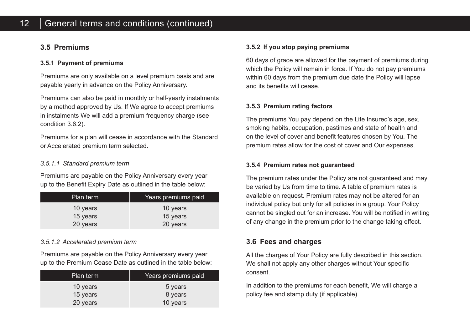## **3.5 Premiums**

#### **3.5.1 Payment of premiums**

Premiums are only available on a level premium basis and are payable yearly in advance on the Policy Anniversary.

Premiums can also be paid in monthly or half-yearly instalments by a method approved by Us. If We agree to accept premiums in instalments We will add a premium frequency charge (see condition 3.6.2).

Premiums for a plan will cease in accordance with the Standard or Accelerated premium term selected.

#### *3.5.1.1 Standard premium term*

Premiums are payable on the Policy Anniversary every year up to the Benefit Expiry Date as outlined in the table below:

| Plan term | Years premiums paid |  |
|-----------|---------------------|--|
| 10 years  | 10 years            |  |
| 15 years  | 15 years            |  |
| 20 years  | 20 years            |  |

## *3.5.1.2 Accelerated premium term*

Premiums are payable on the Policy Anniversary every year up to the Premium Cease Date as outlined in the table below:

| Plan term | Years premiums paid |
|-----------|---------------------|
| 10 years  | 5 years             |
| 15 years  | 8 years             |
| 20 years  | 10 years            |

#### **3.5.2 If you stop paying premiums**

60 days of grace are allowed for the payment of premiums during which the Policy will remain in force. If You do not pay premiums within 60 days from the premium due date the Policy will lapse and its benefits will cease.

#### **3.5.3 Premium rating factors**

The premiums You pay depend on the Life Insured's age, sex, smoking habits, occupation, pastimes and state of health and on the level of cover and benefit features chosen by You. The premium rates allow for the cost of cover and Our expenses.

#### **3.5.4 Premium rates not guaranteed**

The premium rates under the Policy are not guaranteed and may be varied by Us from time to time. A table of premium rates is available on request. Premium rates may not be altered for an individual policy but only for all policies in a group. Your Policy cannot be singled out for an increase. You will be notified in writing of any change in the premium prior to the change taking effect.

## **3.6 Fees and charges**

All the charges of Your Policy are fully described in this section. We shall not apply any other charges without Your specific consent.

In addition to the premiums for each benefit, We will charge a policy fee and stamp duty (if applicable).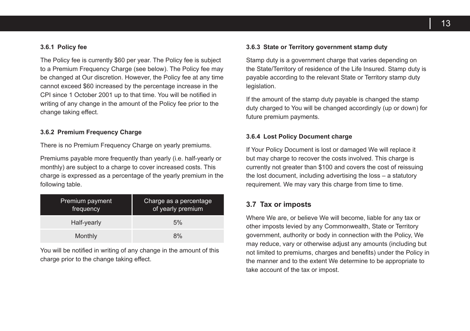#### **3.6.1 Policy fee**

The Policy fee is currently \$60 per year. The Policy fee is subject to a Premium Frequency Charge (see below). The Policy fee may be changed at Our discretion. However, the Policy fee at any time cannot exceed \$60 increased by the percentage increase in the CPI since 1 October 2001 up to that time. You will be notified in writing of any change in the amount of the Policy fee prior to the change taking effect.

#### **3.6.2 Premium Frequency Charge**

There is no Premium Frequency Charge on yearly premiums.

Premiums payable more frequently than yearly (i.e. half-yearly or monthly) are subject to a charge to cover increased costs. This charge is expressed as a percentage of the yearly premium in the following table.

| Premium payment<br>frequency | Charge as a percentage<br>of yearly premium |
|------------------------------|---------------------------------------------|
| Half-yearly                  | 5%                                          |
| Monthly                      | 8%                                          |

You will be notified in writing of any change in the amount of this charge prior to the change taking effect.

#### **3.6.3 State or Territory government stamp duty**

Stamp duty is a government charge that varies depending on the State/Territory of residence of the Life Insured. Stamp duty is payable according to the relevant State or Territory stamp duty legislation.

If the amount of the stamp duty payable is changed the stamp duty charged to You will be changed accordingly (up or down) for future premium payments.

#### **3.6.4 Lost Policy Document charge**

If Your Policy Document is lost or damaged We will replace it but may charge to recover the costs involved. This charge is currently not greater than \$100 and covers the cost of reissuing the lost document, including advertising the loss – a statutory requirement. We may vary this charge from time to time.

#### **3.7 Tax or imposts**

Where We are, or believe We will become, liable for any tax or other imposts levied by any Commonwealth, State or Territory government, authority or body in connection with the Policy, We may reduce, vary or otherwise adjust any amounts (including but not limited to premiums, charges and benefits) under the Policy in the manner and to the extent We determine to be appropriate to take account of the tax or impost.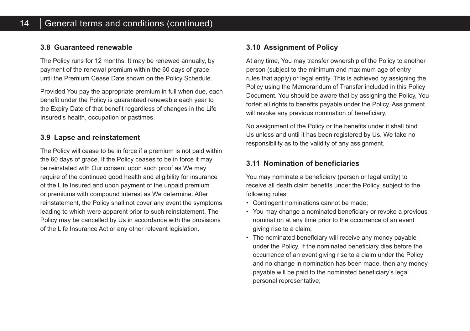## **3.8 Guaranteed renewable**

The Policy runs for 12 months. It may be renewed annually, by payment of the renewal premium within the 60 days of grace, until the Premium Cease Date shown on the Policy Schedule.

Provided You pay the appropriate premium in full when due, each benefit under the Policy is guaranteed renewable each year to the Expiry Date of that benefit regardless of changes in the Life Insured's health, occupation or pastimes.

## **3.9 Lapse and reinstatement**

The Policy will cease to be in force if a premium is not paid within the 60 days of grace. If the Policy ceases to be in force it may be reinstated with Our consent upon such proof as We may require of the continued good health and eligibility for insurance of the Life Insured and upon payment of the unpaid premium or premiums with compound interest as We determine. After reinstatement, the Policy shall not cover any event the symptoms leading to which were apparent prior to such reinstatement. The Policy may be cancelled by Us in accordance with the provisions of the Life Insurance Act or any other relevant legislation.

## **3.10 Assignment of Policy**

At any time, You may transfer ownership of the Policy to another person (subject to the minimum and maximum age of entry rules that apply) or legal entity. This is achieved by assigning the Policy using the Memorandum of Transfer included in this Policy Document. You should be aware that by assigning the Policy, You forfeit all rights to benefits payable under the Policy. Assignment will revoke any previous nomination of beneficiary.

No assignment of the Policy or the benefits under it shall bind Us unless and until it has been registered by Us. We take no responsibility as to the validity of any assignment.

## **3.11 Nomination of beneficiaries**

You may nominate a beneficiary (person or legal entity) to receive all death claim benefits under the Policy, subject to the following rules:

- Contingent nominations cannot be made;
- You may change a nominated beneficiary or revoke a previous nomination at any time prior to the occurrence of an event giving rise to a claim;
- The nominated beneficiary will receive any money payable under the Policy. If the nominated beneficiary dies before the occurrence of an event giving rise to a claim under the Policy and no change in nomination has been made, then any money payable will be paid to the nominated beneficiary's legal personal representative;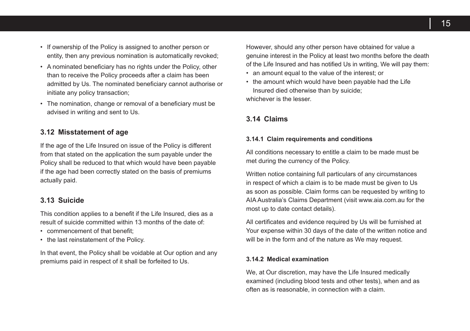- If ownership of the Policy is assigned to another person or entity, then any previous nomination is automatically revoked;
- A nominated beneficiary has no rights under the Policy, other than to receive the Policy proceeds after a claim has been admitted by Us. The nominated beneficiary cannot authorise or initiate any policy transaction;
- The nomination, change or removal of a beneficiary must be advised in writing and sent to Us.

#### **3.12 Misstatement of age**

If the age of the Life Insured on issue of the Policy is different from that stated on the application the sum payable under the Policy shall be reduced to that which would have been payable if the age had been correctly stated on the basis of premiums actually paid.

## **3.13 Suicide**

This condition applies to a benefit if the Life Insured, dies as a result of suicide committed within 13 months of the date of:

- commencement of that benefit.
- the last reinstatement of the Policy.

In that event, the Policy shall be voidable at Our option and any premiums paid in respect of it shall be forfeited to Us.

However, should any other person have obtained for value a genuine interest in the Policy at least two months before the death of the Life Insured and has notified Us in writing, We will pay them:

- an amount equal to the value of the interest; or
- the amount which would have been payable had the Life Insured died otherwise than by suicide; whichever is the lesser.

**3.14 Claims**

#### **3.14.1 Claim requirements and conditions**

All conditions necessary to entitle a claim to be made must be met during the currency of the Policy.

Written notice containing full particulars of any circumstances in respect of which a claim is to be made must be given to Us as soon as possible. Claim forms can be requested by writing to AIA Australia's Claims Department (visit www.aia.com.au for the most up to date contact details).

All certificates and evidence required by Us will be furnished at Your expense within 30 days of the date of the written notice and will be in the form and of the nature as We may request.

#### **3.14.2 Medical examination**

We, at Our discretion, may have the Life Insured medically examined (including blood tests and other tests), when and as often as is reasonable, in connection with a claim.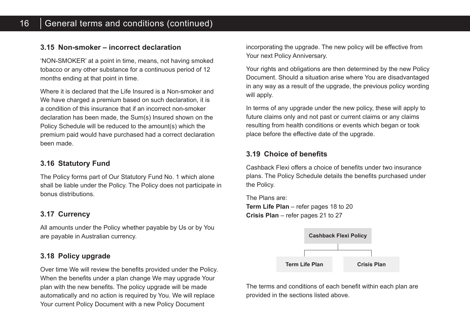## **3.15 Non-smoker – incorrect declaration**

'NON-SMOKER' at a point in time, means, not having smoked tobacco or any other substance for a continuous period of 12 months ending at that point in time.

Where it is declared that the Life Insured is a Non-smoker and We have charged a premium based on such declaration, it is a condition of this insurance that if an incorrect non-smoker declaration has been made, the Sum(s) Insured shown on the Policy Schedule will be reduced to the amount(s) which the premium paid would have purchased had a correct declaration been made.

## **3.16 Statutory Fund**

The Policy forms part of Our Statutory Fund No. 1 which alone shall be liable under the Policy. The Policy does not participate in bonus distributions.

## **3.17 Currency**

All amounts under the Policy whether payable by Us or by You are payable in Australian currency.

## **3.18 Policy upgrade**

Over time We will review the benefits provided under the Policy. When the benefits under a plan change We may upgrade Your plan with the new benefits. The policy upgrade will be made automatically and no action is required by You. We will replace Your current Policy Document with a new Policy Document

incorporating the upgrade. The new policy will be effective from Your next Policy Anniversary.

Your rights and obligations are then determined by the new Policy Document. Should a situation arise where You are disadvantaged in any way as a result of the upgrade, the previous policy wording will apply.

In terms of any upgrade under the new policy, these will apply to future claims only and not past or current claims or any claims resulting from health conditions or events which began or took place before the effective date of the upgrade.

## **3.19 Choice of benefits**

Cashback Flexi offers a choice of benefits under two insurance plans. The Policy Schedule details the benefits purchased under the Policy.

The Plans are: **Term Life Plan** – refer pages 18 to 20 **Crisis Plan** – refer pages 21 to 27



The terms and conditions of each benefit within each plan are provided in the sections listed above.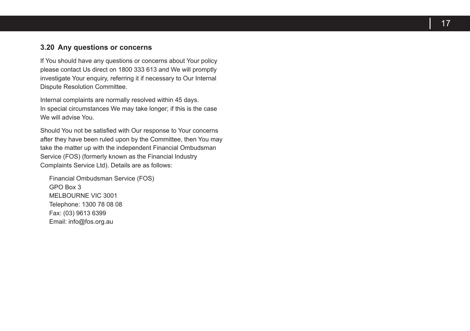## **3.20 Any questions or concerns**

If You should have any questions or concerns about Your policy please contact Us direct on 1800 333 613 and We will promptly investigate Your enquiry, referring it if necessary to Our Internal Dispute Resolution Committee .

Internal complaints are normally resolved within 45 days. In special circumstances We may take longer; if this is the case We will advise You .

Should You not be satisfied with Our response to Your concerns after they have been ruled upon by the Committee, then You may take the matter up with the independent Financial Ombudsman Service (FOS) (formerly known as the Financial Industry Complaints Service Ltd) . Details are as follows:

Financial Ombudsman Service (FOS) GPO Box 3 MELBOURNE VIC 3001 Telephone: 1300 78 08 08 Fax: (03) 9613 6399 Email: info@fos .org .au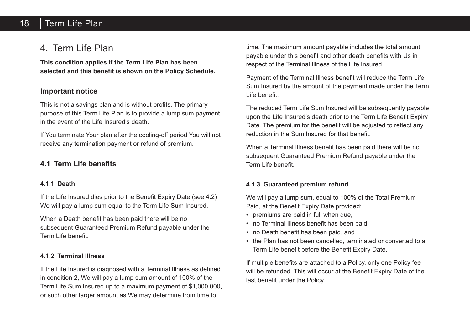# 18 | Term Life Plan

# 4. Term Life Plan

**This condition applies if the Term Life Plan has been selected and this benefit is shown on the Policy Schedule.**

## **Important notice**

This is not a savings plan and is without profits. The primary purpose of this Term Life Plan is to provide a lump sum payment in the event of the Life Insured's death.

If You terminate Your plan after the cooling-off period You will not receive any termination payment or refund of premium.

## **4.1 Term Life benefits**

#### **4.1.1 Death**

If the Life Insured dies prior to the Benefit Expiry Date (see 4.2) We will pay a lump sum equal to the Term Life Sum Insured.

When a Death benefit has been paid there will be no subsequent Guaranteed Premium Refund payable under the Term Life benefit.

## **4.1.2 Terminal Illness**

If the Life Insured is diagnosed with a Terminal Illness as defined in condition 2, We will pay a lump sum amount of 100% of the Term Life Sum Insured up to a maximum payment of \$1,000,000, or such other larger amount as We may determine from time to

time. The maximum amount payable includes the total amount payable under this benefit and other death benefits with Us in respect of the Terminal Illness of the Life Insured.

Payment of the Terminal Illness benefit will reduce the Term Life Sum Insured by the amount of the payment made under the Term Life benefit.

The reduced Term Life Sum Insured will be subsequently payable upon the Life Insured's death prior to the Term Life Benefit Expiry Date. The premium for the benefit will be adjusted to reflect any reduction in the Sum Insured for that benefit.

When a Terminal Illness benefit has been paid there will be no subsequent Guaranteed Premium Refund payable under the Term Life benefit.

## **4.1.3 Guaranteed premium refund**

We will pay a lump sum, equal to 100% of the Total Premium Paid, at the Benefit Expiry Date provided:

- premiums are paid in full when due,
- no Terminal Illness benefit has been paid,
- no Death benefit has been paid, and
- the Plan has not been cancelled, terminated or converted to a Term Life benefit before the Benefit Expiry Date.

If multiple benefits are attached to a Policy, only one Policy fee will be refunded. This will occur at the Benefit Expiry Date of the last benefit under the Policy.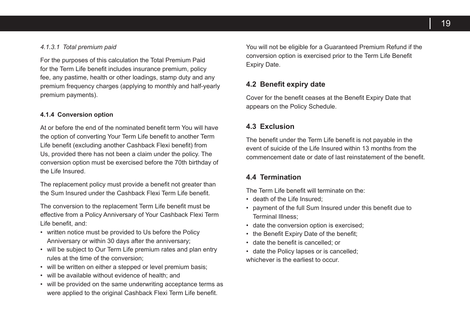#### *4.1.3.1 Total premium paid*

For the purposes of this calculation the Total Premium Paid for the Term Life benefit includes insurance premium, policy fee, any pastime, health or other loadings, stamp duty and any premium frequency charges (applying to monthly and half-yearly premium payments).

#### **4.1.4 Conversion option**

At or before the end of the nominated benefit term You will have the option of converting Your Term Life benefit to another Term Life benefit (excluding another Cashback Flexi benefit) from Us, provided there has not been a claim under the policy. The conversion option must be exercised before the 70th birthday of the Life Insured.

The replacement policy must provide a benefit not greater than the Sum Insured under the Cashback Flexi Term Life benefit.

The conversion to the replacement Term Life benefit must be effective from a Policy Anniversary of Your Cashback Flexi Term Life benefit, and:

- written notice must be provided to Us before the Policy Anniversary or within 30 days after the anniversary;
- will be subject to Our Term Life premium rates and plan entry rules at the time of the conversion;
- will be written on either a stepped or level premium basis;
- will be available without evidence of health; and
- will be provided on the same underwriting acceptance terms as were applied to the original Cashback Flexi Term Life benefit.

You will not be eligible for a Guaranteed Premium Refund if the conversion option is exercised prior to the Term Life Benefit Expiry Date.

#### **4.2 Benefit expiry date**

Cover for the benefit ceases at the Benefit Expiry Date that appears on the Policy Schedule.

#### **4.3 Exclusion**

The benefit under the Term Life benefit is not payable in the event of suicide of the Life Insured within 13 months from the commencement date or date of last reinstatement of the benefit.

#### **4.4 Termination**

The Term Life benefit will terminate on the:

- death of the Life Insured;
- payment of the full Sum Insured under this benefit due to Terminal Illness;
- date the conversion option is exercised;
- the Benefit Expiry Date of the benefit;
- date the benefit is cancelled; or
- date the Policy lapses or is cancelled; whichever is the earliest to occur.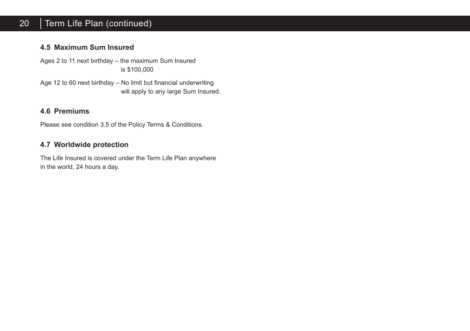#### 20 Term Life Plan (continued)

## **4.5 Maximum Sum Insured**

Ages 2 to 11 next birthday – the maximum Sum Insured is \$100,000

Age 12 to 60 next birthday – No limit but financial underwriting will apply to any large Sum Insured.

## **4.6 Premiums**

Please see condition 3.5 of the Policy Terms & Conditions.

## **4.7 Worldwide protection**

The Life Insured is covered under the Term Life Plan anywhere in the world, 24 hours a day.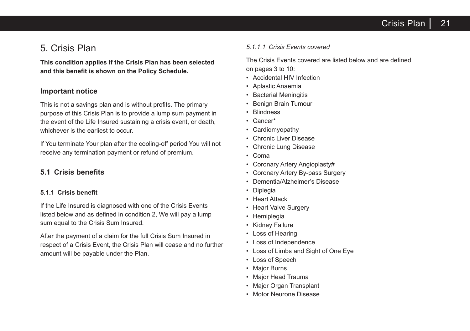# 5. Crisis Plan

**This condition applies if the Crisis Plan has been selected and this benefit is shown on the Policy Schedule.**

## **Important notice**

This is not a savings plan and is without profits. The primary purpose of this Crisis Plan is to provide a lump sum payment in the event of the Life Insured sustaining a crisis event, or death, whichever is the earliest to occur.

If You terminate Your plan after the cooling-off period You will not receive any termination payment or refund of premium.

## **5.1 Crisis benefits**

#### **5.1.1 Crisis benefit**

If the Life Insured is diagnosed with one of the Crisis Events listed below and as defined in condition 2, We will pay a lump sum equal to the Crisis Sum Insured.

After the payment of a claim for the full Crisis Sum Insured in respect of a Crisis Event, the Crisis Plan will cease and no further amount will be payable under the Plan.

#### *5.1.1.1 Crisis Events covered*

The Crisis Events covered are listed below and are defined on pages 3 to 10:

- Accidental HIV Infection
- Aplastic Anaemia
- Bacterial Meningitis
- Benign Brain Tumour
- Blindness
- Cancer\*
- **Cardiomyopathy**
- Chronic Liver Disease
- Chronic Lung Disease
- Coma
- Coronary Artery Angioplasty#
- Coronary Artery By-pass Surgery
- Dementia/Alzheimer's Disease
- Diplegia
- Heart Attack
- Heart Valve Surgery
- Hemiplegia
- Kidney Failure
- Loss of Hearing
- Loss of Independence
- Loss of Limbs and Sight of One Eye
- Loss of Speech
- Major Burns
- Major Head Trauma
- Major Organ Transplant
- Motor Neurone Disease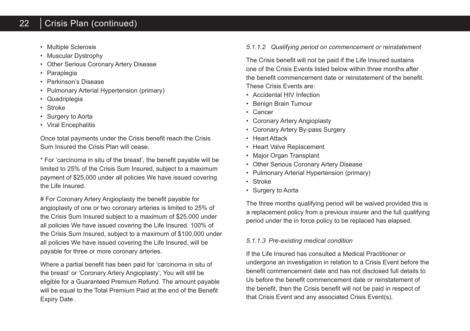#### 22 Crisis Plan (continued)

- Multiple Sclerosis
- Muscular Dystrophy
- Other Serious Coronary Artery Disease
- **Paraplegia**
- Parkinson's Disease
- Pulmonary Arterial Hypertension (primary)
- Quadriplegia
- Stroke
- Surgery to Aorta
- Viral Encephalitis

Once total payments under the Crisis benefit reach the Crisis Sum Insured the Crisis Plan will cease.

\* For 'carcinoma in situ of the breast', the benefit payable will be limited to 25% of the Crisis Sum Insured, subject to a maximum payment of \$25,000 under all policies We have issued covering the Life Insured.

# For Coronary Artery Angioplasty the benefit payable for angioplasty of one or two coronary arteries is limited to 25% of the Crisis Sum Insured subject to a maximum of \$25,000 under all policies We have issued covering the Life Insured. 100% of the Crisis Sum Insured, subject to a maximum of \$100,000 under all policies We have issued covering the Life Insured, will be payable for three or more coronary arteries.

Where a partial benefit has been paid for 'carcinoma in situ of the breast' or 'Coronary Artery Angioplasty', You will still be eligible for a Guaranteed Premium Refund. The amount payable will be equal to the Total Premium Paid at the end of the Benefit Expiry Date.

## *5.1.1.2 Qualifying period on commencement or reinstatement*

The Crisis benefit will not be paid if the Life Insured sustains one of the Crisis Events listed below within three months after the benefit commencement date or reinstatement of the benefit. These Crisis Events are:

- Accidental HIV Infection
- Benign Brain Tumour
- Cancer
- Coronary Artery Angioplasty
- Coronary Artery By-pass Surgery
- Heart Attack
- Heart Valve Replacement
- Major Organ Transplant
- Other Serious Coronary Artery Disease
- Pulmonary Arterial Hypertension (primary)
- Stroke
- Surgery to Aorta

The three months qualifying period will be waived provided this is a replacement policy from a previous insurer and the full qualifying period under the in force policy to be replaced has elapsed.

#### *5.1.1.3 Pre-existing medical condition*

If the Life Insured has consulted a Medical Practitioner or undergone an investigation in relation to a Crisis Event before the benefit commencement date and has not disclosed full details to Us before the benefit commencement date or reinstatement of the benefit, then the Crisis benefit will not be paid in respect of that Crisis Event and any associated Crisis Event(s).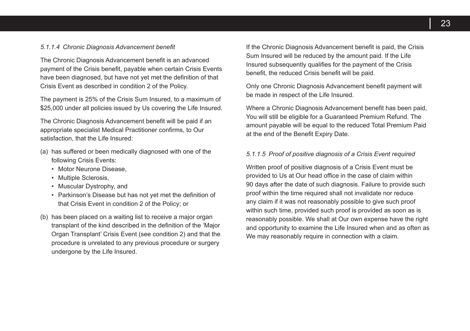#### *5.1.1.4 Chronic Diagnosis Advancement benefit*

The Chronic Diagnosis Advancement benefit is an advanced payment of the Crisis benefit, payable when certain Crisis Events have been diagnosed, but have not yet met the definition of that Crisis Event as described in condition 2 of the Policy.

The payment is 25% of the Crisis Sum Insured, to a maximum of \$25,000 under all policies issued by Us covering the Life Insured.

The Chronic Diagnosis Advancement benefit will be paid if an appropriate specialist Medical Practitioner confirms, to Our satisfaction, that the Life Insured:

- (a) has suffered or been medically diagnosed with one of the following Crisis Events:
	- Motor Neurone Disease,
	- Multiple Sclerosis,
	- Muscular Dystrophy, and
	- Parkinson's Disease but has not yet met the definition of that Crisis Event in condition 2 of the Policy; or
- (b) has been placed on a waiting list to receive a major organ transplant of the kind described in the definition of the 'Major Organ Transplant' Crisis Event (see condition 2) and that the procedure is unrelated to any previous procedure or surgery undergone by the Life Insured.

If the Chronic Diagnosis Advancement benefit is paid, the Crisis Sum Insured will be reduced by the amount paid. If the Life Insured subsequently qualifies for the payment of the Crisis benefit, the reduced Crisis benefit will be paid.

Only one Chronic Diagnosis Advancement benefit payment will be made in respect of the Life Insured.

Where a Chronic Diagnosis Advancement benefit has been paid, You will still be eligible for a Guaranteed Premium Refund. The amount payable will be equal to the reduced Total Premium Paid at the end of the Benefit Expiry Date.

#### *5.1.1.5 Proof of positive diagnosis of a Crisis Event required*

Written proof of positive diagnosis of a Crisis Event must be provided to Us at Our head office in the case of claim within 90 days after the date of such diagnosis. Failure to provide such proof within the time required shall not invalidate nor reduce any claim if it was not reasonably possible to give such proof within such time, provided such proof is provided as soon as is reasonably possible. We shall at Our own expense have the right and opportunity to examine the Life Insured when and as often as We may reasonably require in connection with a claim.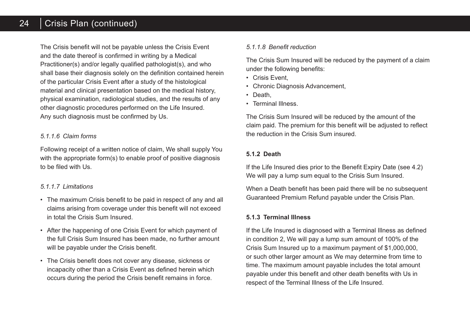#### 24 Crisis Plan (continued)

The Crisis benefit will not be payable unless the Crisis Event and the date thereof is confirmed in writing by a Medical Practitioner(s) and/or legally qualified pathologist(s), and who shall base their diagnosis solely on the definition contained herein of the particular Crisis Event after a study of the histological material and clinical presentation based on the medical history, physical examination, radiological studies, and the results of any other diagnostic procedures performed on the Life Insured. Any such diagnosis must be confirmed by Us.

#### *5.1.1.6 Claim forms*

Following receipt of a written notice of claim, We shall supply You with the appropriate form(s) to enable proof of positive diagnosis to be filed with Us.

#### *5.1.1.7 Limitations*

- The maximum Crisis benefit to be paid in respect of any and all claims arising from coverage under this benefit will not exceed in total the Crisis Sum Insured.
- After the happening of one Crisis Event for which payment of the full Crisis Sum Insured has been made, no further amount will be payable under the Crisis benefit.
- The Crisis benefit does not cover any disease, sickness or incapacity other than a Crisis Event as defined herein which occurs during the period the Crisis benefit remains in force.

## *5.1.1.8 Benefit reduction*

The Crisis Sum Insured will be reduced by the payment of a claim under the following benefits:

- Crisis Event,
- Chronic Diagnosis Advancement,
- Death
- Terminal Illness.

The Crisis Sum Insured will be reduced by the amount of the claim paid. The premium for this benefit will be adjusted to reflect the reduction in the Crisis Sum insured.

## **5.1.2 Death**

If the Life Insured dies prior to the Benefit Expiry Date (see 4.2) We will pay a lump sum equal to the Crisis Sum Insured.

When a Death benefit has been paid there will be no subsequent Guaranteed Premium Refund payable under the Crisis Plan.

#### **5.1.3 Terminal Illness**

If the Life Insured is diagnosed with a Terminal Illness as defined in condition 2, We will pay a lump sum amount of 100% of the Crisis Sum Insured up to a maximum payment of \$1,000,000, or such other larger amount as We may determine from time to time. The maximum amount payable includes the total amount payable under this benefit and other death benefits with Us in respect of the Terminal Illness of the Life Insured.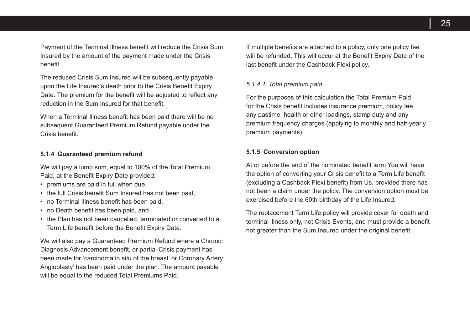Payment of the Terminal Illness benefit will reduce the Crisis Sum Insured by the amount of the payment made under the Crisis benefit.

The reduced Crisis Sum Insured will be subsequently payable upon the Life Insured's death prior to the Crisis Benefit Expiry Date. The premium for the benefit will be adjusted to reflect any reduction in the Sum Insured for that benefit.

When a Terminal Illness benefit has been paid there will be no subsequent Guaranteed Premium Refund payable under the Crisis benefit.

#### **5.1.4 Guaranteed premium refund**

We will pay a lump sum, equal to 100% of the Total Premium Paid, at the Benefit Expiry Date provided:

- premiums are paid in full when due,
- the full Crisis benefit Sum Insured has not been paid,
- no Terminal Illness benefit has been paid,
- no Death benefit has been paid, and
- the Plan has not been cancelled, terminated or converted to a Term Life benefit before the Benefit Expiry Date.

We will also pay a Guaranteed Premium Refund where a Chronic Diagnosis Advancement benefit, or partial Crisis payment has been made for 'carcinoma in situ of the breast' or Coronary Artery Angioplasty' has been paid under the plan. The amount payable will be equal to the reduced Total Premiums Paid.

If multiple benefits are attached to a policy, only one policy fee will be refunded. This will occur at the Benefit Expiry Date of the last benefit under the Cashback Flexi policy.

#### *5.1.4.1 Total premium paid*

For the purposes of this calculation the Total Premium Paid for the Crisis benefit includes insurance premium, policy fee, any pastime, health or other loadings, stamp duty and any premium frequency charges (applying to monthly and half-yearly premium payments).

#### **5.1.5 Conversion option**

At or before the end of the nominated benefit term You will have the option of converting your Crisis benefit to a Term Life benefit (excluding a Cashback Flexi benefit) from Us, provided there has not been a claim under the policy. The conversion option must be exercised before the 60th birthday of the Life Insured.

The replacement Term Life policy will provide cover for death and terminal illness only, not Crisis Events, and must provide a benefit not greater than the Sum Insured under the original benefit.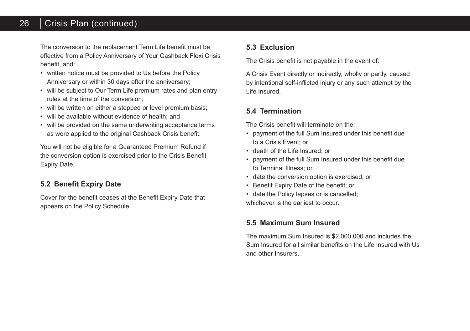#### 26 Crisis Plan (continued)

The conversion to the replacement Term Life benefit must be effective from a Policy Anniversary of Your Cashback Flexi Crisis benefit, and:

- written notice must be provided to Us before the Policy Anniversary or within 30 days after the anniversary;
- will be subject to Our Term Life premium rates and plan entry rules at the time of the conversion;
- will be written on either a stepped or level premium basis;
- will be available without evidence of health; and
- will be provided on the same underwriting acceptance terms as were applied to the original Cashback Crisis benefit.

You will not be eligible for a Guaranteed Premium Refund if the conversion option is exercised prior to the Crisis Benefit Expiry Date.

## **5.2 Benefit Expiry Date**

Cover for the benefit ceases at the Benefit Expiry Date that appears on the Policy Schedule.

## **5.3 Exclusion**

The Crisis benefit is not payable in the event of:

A Crisis Event directly or indirectly, wholly or partly, caused by intentional self-inflicted injury or any such attempt by the Life Insured.

## **5.4 Termination**

The Crisis benefit will terminate on the:

- payment of the full Sum Insured under this benefit due to a Crisis Event; or
- death of the Life Insured; or
- payment of the full Sum Insured under this benefit due to Terminal Illness; or
- date the conversion option is exercised; or
- Benefit Expiry Date of the benefit; or
- date the Policy lapses or is cancelled; whichever is the earliest to occur.

## **5.5 Maximum Sum Insured**

The maximum Sum Insured is \$2,000,000 and includes the Sum Insured for all similar benefits on the Life Insured with Us and other Insurers.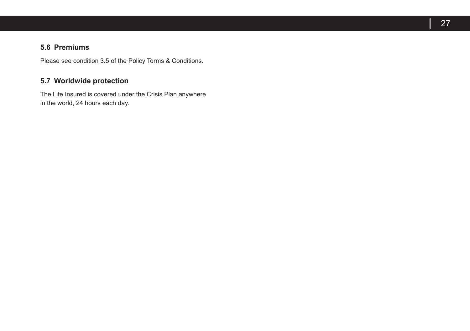## **5.6 Premiums**

Please see condition 3.5 of the Policy Terms & Conditions.

## **5.7 Worldwide protection**

The Life Insured is covered under the Crisis Plan anywhere in the world, 24 hours each day.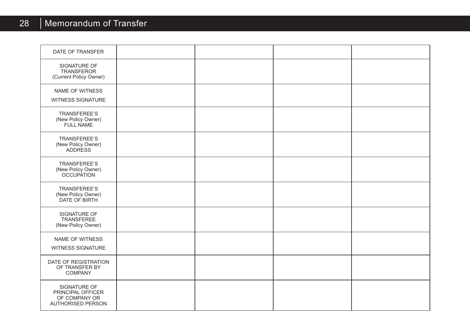# 28 | Memorandum of Transfer

| DATE OF TRANSFER                                                               |  |  |
|--------------------------------------------------------------------------------|--|--|
| SIGNATURE OF<br><b>TRANSFEROR</b><br>(Current Policy Owner)                    |  |  |
| NAME OF WITNESS<br>WITNESS SIGNATURE                                           |  |  |
| <b>TRANSFEREE'S</b><br>(New Policy Owner)<br>FULL NAME                         |  |  |
| <b>TRANSFEREE'S</b><br>(New Policy Owner)<br>ADDRESS                           |  |  |
| TRANSFEREE'S<br>(New Policy Owner)<br>OCCUPATION                               |  |  |
| <b>TRANSFEREE'S</b><br>(New Policy Owner)<br>DATE OF BIRTH                     |  |  |
| SIGNATURE OF<br><b>TRANSFEREE</b><br>(New Policy Owner)                        |  |  |
| <b>NAME OF WITNESS</b><br><b>WITNESS SIGNATURE</b>                             |  |  |
| DATE OF REGISTRATION<br>OF TRANSFER BY<br><b>COMPANY</b>                       |  |  |
| SIGNATURE OF<br>PRINCIPAL OFFICER<br>OF COMPANY OR<br><b>AUTHORISED PERSON</b> |  |  |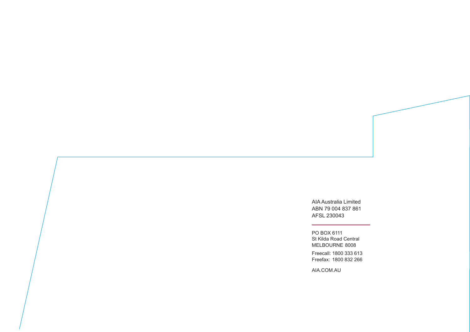AIA Australia Limited ABN 79 004 837 861 AFSL 230043

PO BOX 6111 St Kilda Road Central MELBOURNE 8008

Freecall: 1800 333 613 Freefax: 1800 832 266

AIA.COM.AU